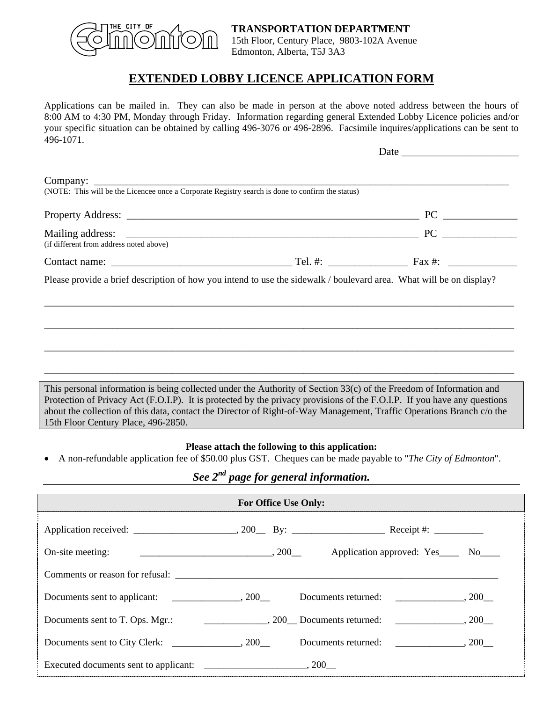

### **TRANSPORTATION DEPARTMENT** 15th Floor, Century Place, 9803-102A Avenue

Date  $\qquad \qquad$ 

Edmonton, Alberta, T5J 3A3

## **EXTENDED LOBBY LICENCE APPLICATION FORM**

Applications can be mailed in. They can also be made in person at the above noted address between the hours of 8:00 AM to 4:30 PM, Monday through Friday. Information regarding general Extended Lobby Licence policies and/or your specific situation can be obtained by calling 496-3076 or 496-2896. Facsimile inquires/applications can be sent to 496-1071.

| (NOTE: This will be the Licencee once a Corporate Registry search is done to confirm the status) |          |
|--------------------------------------------------------------------------------------------------|----------|
|                                                                                                  | $PC \t—$ |
| (if different from address noted above)                                                          | PC       |
|                                                                                                  |          |

\_\_\_\_\_\_\_\_\_\_\_\_\_\_\_\_\_\_\_\_\_\_\_\_\_\_\_\_\_\_\_\_\_\_\_\_\_\_\_\_\_\_\_\_\_\_\_\_\_\_\_\_\_\_\_\_\_\_\_\_\_\_\_\_\_\_\_\_\_\_\_\_\_\_\_\_\_\_\_\_\_\_\_\_\_\_\_\_\_\_\_\_\_\_\_\_

\_\_\_\_\_\_\_\_\_\_\_\_\_\_\_\_\_\_\_\_\_\_\_\_\_\_\_\_\_\_\_\_\_\_\_\_\_\_\_\_\_\_\_\_\_\_\_\_\_\_\_\_\_\_\_\_\_\_\_\_\_\_\_\_\_\_\_\_\_\_\_\_\_\_\_\_\_\_\_\_\_\_\_\_\_\_\_\_\_\_\_\_\_\_\_\_

\_\_\_\_\_\_\_\_\_\_\_\_\_\_\_\_\_\_\_\_\_\_\_\_\_\_\_\_\_\_\_\_\_\_\_\_\_\_\_\_\_\_\_\_\_\_\_\_\_\_\_\_\_\_\_\_\_\_\_\_\_\_\_\_\_\_\_\_\_\_\_\_\_\_\_\_\_\_\_\_\_\_\_\_\_\_\_\_\_\_\_\_\_\_\_\_

\_\_\_\_\_\_\_\_\_\_\_\_\_\_\_\_\_\_\_\_\_\_\_\_\_\_\_\_\_\_\_\_\_\_\_\_\_\_\_\_\_\_\_\_\_\_\_\_\_\_\_\_\_\_\_\_\_\_\_\_\_\_\_\_\_\_\_\_\_\_\_\_\_\_\_\_\_\_\_\_\_\_\_\_\_\_\_\_\_\_\_\_\_\_\_\_

This personal information is being collected under the Authority of Section 33(c) of the Freedom of Information and Protection of Privacy Act (F.O.I.P). It is protected by the privacy provisions of the F.O.I.P. If you have any questions about the collection of this data, contact the Director of Right-of-Way Management, Traffic Operations Branch c/o the 15th Floor Century Place, 496-2850.

#### **Please attach the following to this application:**

• A non-refundable application fee of \$50.00 plus GST. Cheques can be made payable to "*The City of Edmonton*".

# *See 2nd page for general information.*

|                                                                                             | <b>For Office Use Only:</b> |  |                                    |  |
|---------------------------------------------------------------------------------------------|-----------------------------|--|------------------------------------|--|
|                                                                                             |                             |  |                                    |  |
| On-site meeting:                                                                            |                             |  | Application approved: Yes No No No |  |
|                                                                                             |                             |  |                                    |  |
|                                                                                             |                             |  |                                    |  |
|                                                                                             |                             |  |                                    |  |
| Documents sent to City Clerk: 200 Documents returned: 200 Rocuments sent to City Clerk: 200 |                             |  |                                    |  |
|                                                                                             |                             |  |                                    |  |